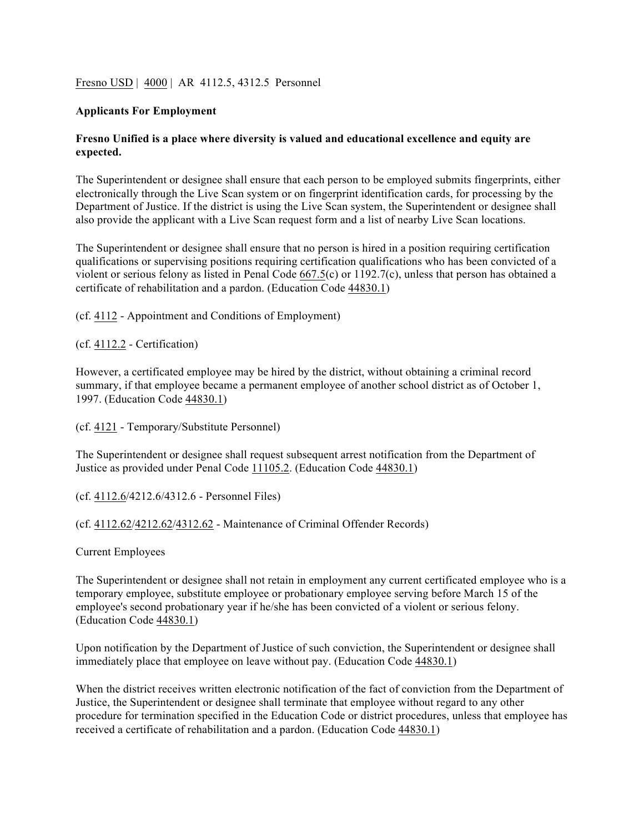Fresno USD | 4000 | AR 4112.5, 4312.5 Personnel

## **Applicants For Employment**

## **Fresno Unified is a place where diversity is valued and educational excellence and equity are expected.**

The Superintendent or designee shall ensure that each person to be employed submits fingerprints, either electronically through the Live Scan system or on fingerprint identification cards, for processing by the Department of Justice. If the district is using the Live Scan system, the Superintendent or designee shall also provide the applicant with a Live Scan request form and a list of nearby Live Scan locations.

The Superintendent or designee shall ensure that no person is hired in a position requiring certification qualifications or supervising positions requiring certification qualifications who has been convicted of a violent or serious felony as listed in Penal Code 667.5(c) or 1192.7(c), unless that person has obtained a certificate of rehabilitation and a pardon. (Education Code 44830.1)

(cf. 4112 - Appointment and Conditions of Employment)

(cf. 4112.2 - Certification)

However, a certificated employee may be hired by the district, without obtaining a criminal record summary, if that employee became a permanent employee of another school district as of October 1, 1997. (Education Code 44830.1)

(cf. 4121 - Temporary/Substitute Personnel)

The Superintendent or designee shall request subsequent arrest notification from the Department of Justice as provided under Penal Code 11105.2. (Education Code 44830.1)

(cf. 4112.6/4212.6/4312.6 - Personnel Files)

(cf. 4112.62/4212.62/4312.62 - Maintenance of Criminal Offender Records)

Current Employees

The Superintendent or designee shall not retain in employment any current certificated employee who is a temporary employee, substitute employee or probationary employee serving before March 15 of the employee's second probationary year if he/she has been convicted of a violent or serious felony. (Education Code 44830.1)

Upon notification by the Department of Justice of such conviction, the Superintendent or designee shall immediately place that employee on leave without pay. (Education Code 44830.1)

When the district receives written electronic notification of the fact of conviction from the Department of Justice, the Superintendent or designee shall terminate that employee without regard to any other procedure for termination specified in the Education Code or district procedures, unless that employee has received a certificate of rehabilitation and a pardon. (Education Code 44830.1)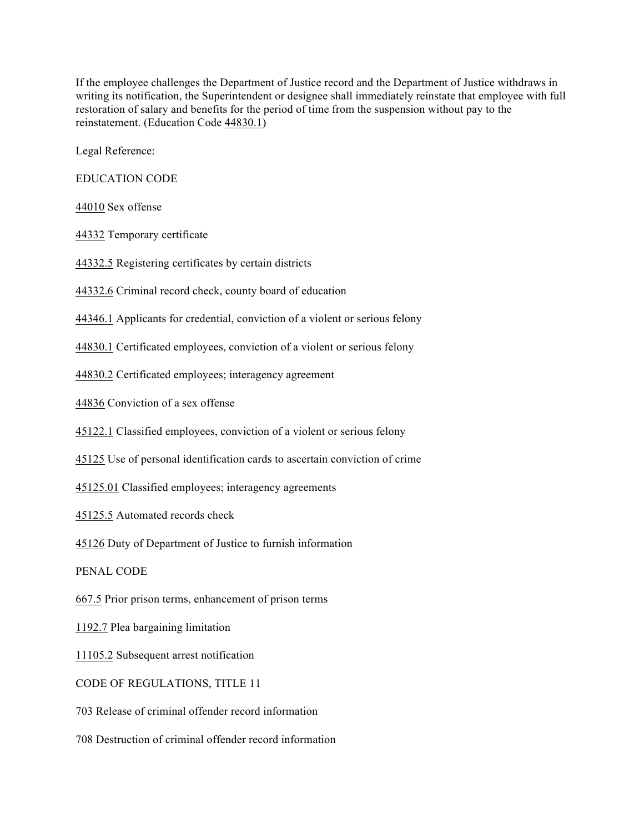If the employee challenges the Department of Justice record and the Department of Justice withdraws in writing its notification, the Superintendent or designee shall immediately reinstate that employee with full restoration of salary and benefits for the period of time from the suspension without pay to the reinstatement. (Education Code 44830.1)

Legal Reference:

EDUCATION CODE

44010 Sex offense

44332 Temporary certificate

44332.5 Registering certificates by certain districts

44332.6 Criminal record check, county board of education

44346.1 Applicants for credential, conviction of a violent or serious felony

44830.1 Certificated employees, conviction of a violent or serious felony

44830.2 Certificated employees; interagency agreement

44836 Conviction of a sex offense

45122.1 Classified employees, conviction of a violent or serious felony

45125 Use of personal identification cards to ascertain conviction of crime

45125.01 Classified employees; interagency agreements

45125.5 Automated records check

45126 Duty of Department of Justice to furnish information

PENAL CODE

667.5 Prior prison terms, enhancement of prison terms

1192.7 Plea bargaining limitation

11105.2 Subsequent arrest notification

## CODE OF REGULATIONS, TITLE 11

703 Release of criminal offender record information

708 Destruction of criminal offender record information